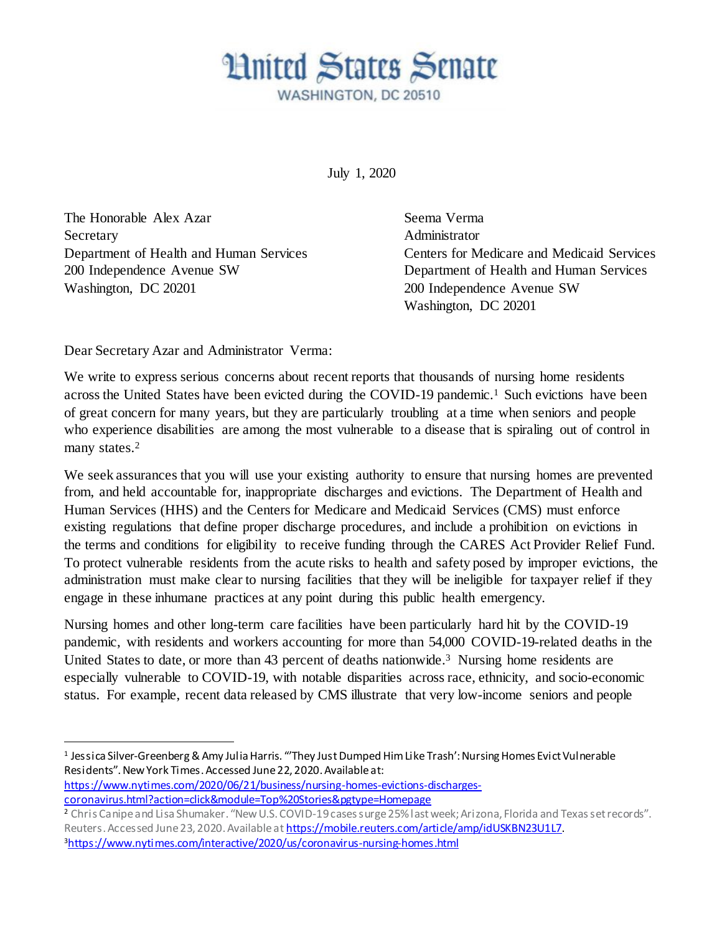## **Hnited States Senate** WASHINGTON, DC 20510

July 1, 2020

The Honorable Alex Azar Seema Verma Secretary **Administrator Administrator** 200 Independence Avenue SW Department of Health and Human Services Washington, DC 20201 200 Independence Avenue SW

Department of Health and Human Services Centers for Medicare and Medicaid Services Washington, DC 20201

Dear Secretary Azar and Administrator Verma:

l

We write to express serious concerns about recent reports that thousands of nursing home residents across the United States have been evicted during the COVID-19 pandemic.<sup>1</sup> Such evictions have been of great concern for many years, but they are particularly troubling at a time when seniors and people who experience disabilities are among the most vulnerable to a disease that is spiraling out of control in many states.<sup>2</sup>

We seek assurances that you will use your existing authority to ensure that nursing homes are prevented from, and held accountable for, inappropriate discharges and evictions. The Department of Health and Human Services (HHS) and the Centers for Medicare and Medicaid Services (CMS) must enforce existing regulations that define proper discharge procedures, and include a prohibition on evictions in the terms and conditions for eligibility to receive funding through the CARES Act Provider Relief Fund. To protect vulnerable residents from the acute risks to health and safety posed by improper evictions, the administration must make clear to nursing facilities that they will be ineligible for taxpayer relief if they engage in these inhumane practices at any point during this public health emergency.

Nursing homes and other long-term care facilities have been particularly hard hit by the COVID-19 pandemic, with residents and workers accounting for more than 54,000 COVID-19-related deaths in the United States to date, or more than 43 percent of deaths nationwide. <sup>3</sup> Nursing home residents are especially vulnerable to COVID-19, with notable disparities across race, ethnicity, and socio-economic status. For example, recent data released by CMS illustrate that very low-income seniors and people

[https://www.nytimes.com/2020/06/21/business/nursing-homes-evictions-discharges](https://www.nytimes.com/2020/06/21/business/nursing-homes-evictions-discharges-coronavirus.html?action=click&module=Top%20Stories&pgtype=Homepage)[coronavirus.html?action=click&module=Top%20Stories&pgtype=Homepage](https://www.nytimes.com/2020/06/21/business/nursing-homes-evictions-discharges-coronavirus.html?action=click&module=Top%20Stories&pgtype=Homepage)

<sup>1</sup> Jessica Silver-Greenberg & Amy Julia Harris. "'They Just Dumped Him Like Trash': Nursing Homes Evict Vulnerable Residents". New York Times. Accessed June 22, 2020. Available at:

<sup>2</sup> Chris Canipe and Lisa Shumaker. "New U.S. COVID-19 cases surge 25% last week; Arizona, Florida and Texas set records". Reuters. Accessed June 23, 2020. Available a[t https://mobile.reuters.com/article/amp/idUSKBN23U1L7](https://mobile.reuters.com/article/amp/idUSKBN23U1L7). 3<https://www.nytimes.com/interactive/2020/us/coronavirus-nursing-homes.html>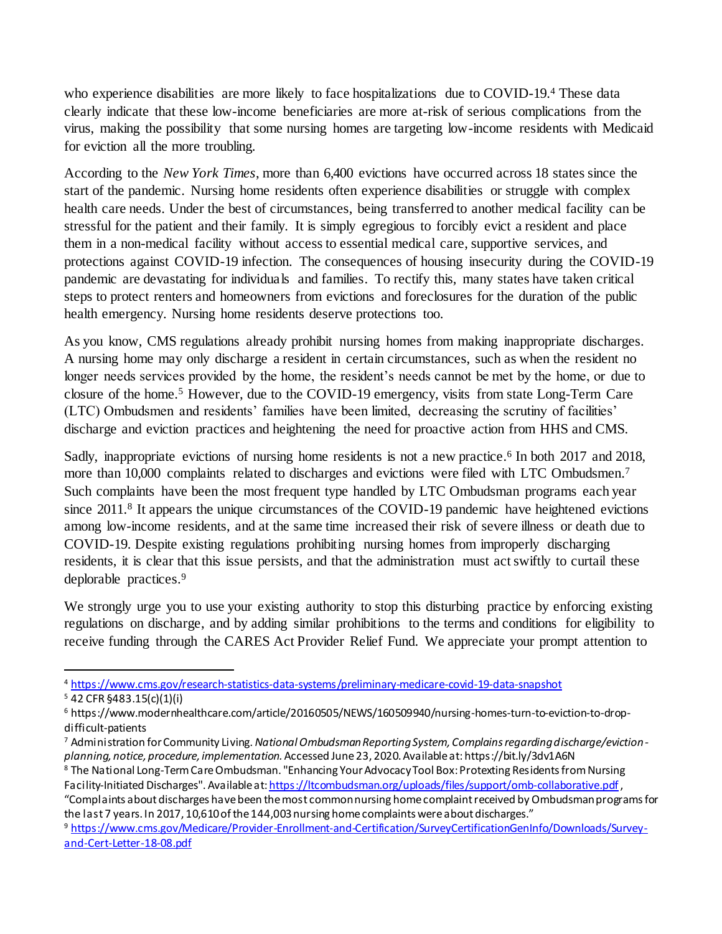who experience disabilities are more likely to face hospitalizations due to COVID-19.4 These data clearly indicate that these low-income beneficiaries are more at-risk of serious complications from the virus, making the possibility that some nursing homes are targeting low-income residents with Medicaid for eviction all the more troubling.

According to the *New York Times*, more than 6,400 evictions have occurred across 18 states since the start of the pandemic. Nursing home residents often experience disabilities or struggle with complex health care needs. Under the best of circumstances, being transferred to another medical facility can be stressful for the patient and their family. It is simply egregious to forcibly evict a resident and place them in a non-medical facility without access to essential medical care, supportive services, and protections against COVID-19 infection. The consequences of housing insecurity during the COVID-19 pandemic are devastating for individuals and families. To rectify this, many states have taken critical steps to protect renters and homeowners from evictions and foreclosures for the duration of the public health emergency. Nursing home residents deserve protections too.

As you know, CMS regulations already prohibit nursing homes from making inappropriate discharges. A nursing home may only discharge a resident in certain circumstances, such as when the resident no longer needs services provided by the home, the resident's needs cannot be met by the home, or due to closure of the home.<sup>5</sup> However, due to the COVID-19 emergency, visits from state Long-Term Care (LTC) Ombudsmen and residents' families have been limited, decreasing the scrutiny of facilities' discharge and eviction practices and heightening the need for proactive action from HHS and CMS.

Sadly, inappropriate evictions of nursing home residents is not a new practice.<sup>6</sup> In both 2017 and 2018, more than 10,000 complaints related to discharges and evictions were filed with LTC Ombudsmen.<sup>7</sup> Such complaints have been the most frequent type handled by LTC Ombudsman programs each year since 2011.<sup>8</sup> It appears the unique circumstances of the COVID-19 pandemic have heightened evictions among low-income residents, and at the same time increased their risk of severe illness or death due to COVID-19. Despite existing regulations prohibiting nursing homes from improperly discharging residents, it is clear that this issue persists, and that the administration must act swiftly to curtail these deplorable practices. 9

We strongly urge you to use your existing authority to stop this disturbing practice by enforcing existing regulations on discharge, and by adding similar prohibitions to the terms and conditions for eligibility to receive funding through the CARES Act Provider Relief Fund. We appreciate your prompt attention to

l <sup>4</sup> <https://www.cms.gov/research-statistics-data-systems/preliminary-medicare-covid-19-data-snapshot>

<sup>5</sup> 42 CFR §483.15(c)(1)(i)

<sup>6</sup> https://www.modernhealthcare.com/article/20160505/NEWS/160509940/nursing-homes-turn-to-eviction-to-dropdifficult-patients

<sup>7</sup> Administration for Community Living. *National Ombudsman Reporting System, Complains regarding discharge/eviction planning, notice, procedure, implementation.* Accessed June 23, 2020. Available at: https://bit.ly/3dv1A6N

<sup>8</sup> The National Long-Term Care Ombudsman. "Enhancing Your Advocacy Tool Box: Protexting Residents from Nursing Facility-Initiated Discharges". Available a[t: https://ltcombudsman.org/uploads/files/support/omb-collaborative.pdf](https://ltcombudsman.org/uploads/files/support/omb-collaborative.pdf),

<sup>&</sup>quot;Complaints about discharges have been the most common nursing home complaint received by Ombudsman programs for the last 7 years. In 2017, 10,610 of the 144,003 nursing home complaints were about discharges."

<sup>9</sup> [https://www.cms.gov/Medicare/Provider-Enrollment-and-Certification/SurveyCertificationGenInfo/Downloads/Survey](https://www.cms.gov/Medicare/Provider-Enrollment-and-Certification/SurveyCertificationGenInfo/Downloads/Survey-and-Cert-Letter-18-08.pdf)[and-Cert-Letter-18-08.pdf](https://www.cms.gov/Medicare/Provider-Enrollment-and-Certification/SurveyCertificationGenInfo/Downloads/Survey-and-Cert-Letter-18-08.pdf)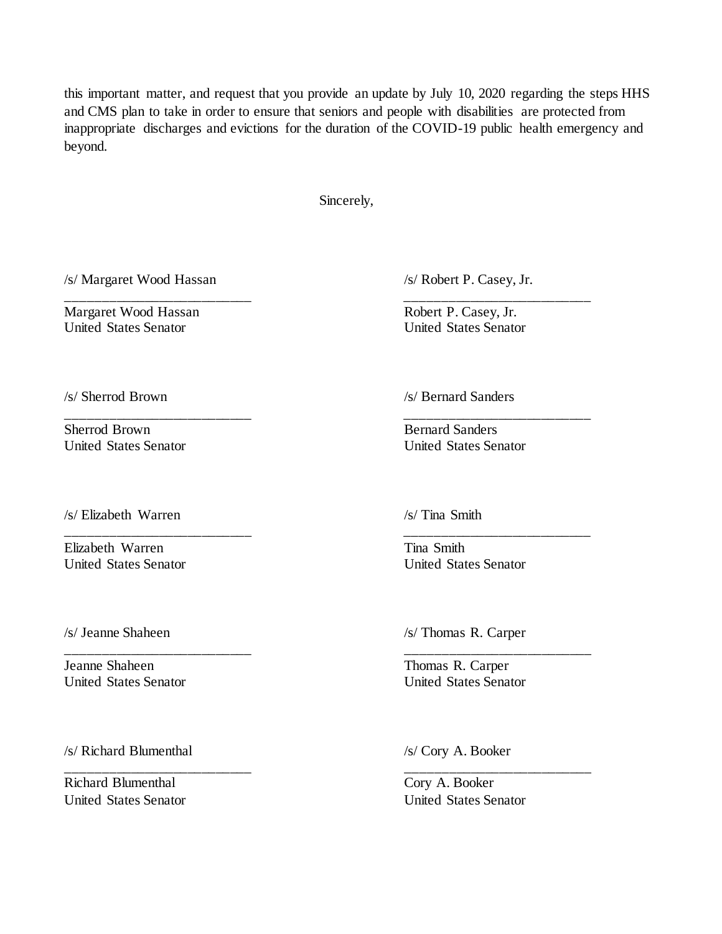this important matter, and request that you provide an update by July 10, 2020 regarding the steps HHS and CMS plan to take in order to ensure that seniors and people with disabilities are protected from inappropriate discharges and evictions for the duration of the COVID-19 public health emergency and beyond.

Sincerely,

\_\_\_\_\_\_\_\_\_\_\_\_\_\_\_\_\_\_\_\_\_\_\_\_\_\_ \_\_\_\_\_\_\_\_\_\_\_\_\_\_\_\_\_\_\_\_\_\_\_\_\_\_

\_\_\_\_\_\_\_\_\_\_\_\_\_\_\_\_\_\_\_\_\_\_\_\_\_\_ \_\_\_\_\_\_\_\_\_\_\_\_\_\_\_\_\_\_\_\_\_\_\_\_\_\_

\_\_\_\_\_\_\_\_\_\_\_\_\_\_\_\_\_\_\_\_\_\_\_\_\_\_ \_\_\_\_\_\_\_\_\_\_\_\_\_\_\_\_\_\_\_\_\_\_\_\_\_\_

\_\_\_\_\_\_\_\_\_\_\_\_\_\_\_\_\_\_\_\_\_\_\_\_\_\_ \_\_\_\_\_\_\_\_\_\_\_\_\_\_\_\_\_\_\_\_\_\_\_\_\_\_

/s/ Margaret Wood Hassan /s/ Robert P. Casey, Jr.

Margaret Wood Hassan Robert P. Casey, Jr. United States Senator United States Senator

\_\_\_\_\_\_\_\_\_\_\_\_\_\_\_\_\_\_\_\_\_\_\_\_\_\_ \_\_\_\_\_\_\_\_\_\_\_\_\_\_\_\_\_\_\_\_\_\_\_\_\_\_

Sherrod Brown Bernard Sanders United States Senator United States Senator

/s/ Elizabeth Warren /s/ Tina Smith

Elizabeth Warren Tina Smith United States Senator United States Senator

Jeanne Shaheen Thomas R. Carper United States Senator United States Senator

/s/ Richard Blumenthal /s/ Cory A. Booker

Richard Blumenthal Cory A. Booker United States Senator United States Senator

/s/ Sherrod Brown /s/ Bernard Sanders

/s/ Jeanne Shaheen /s/ Thomas R. Carper